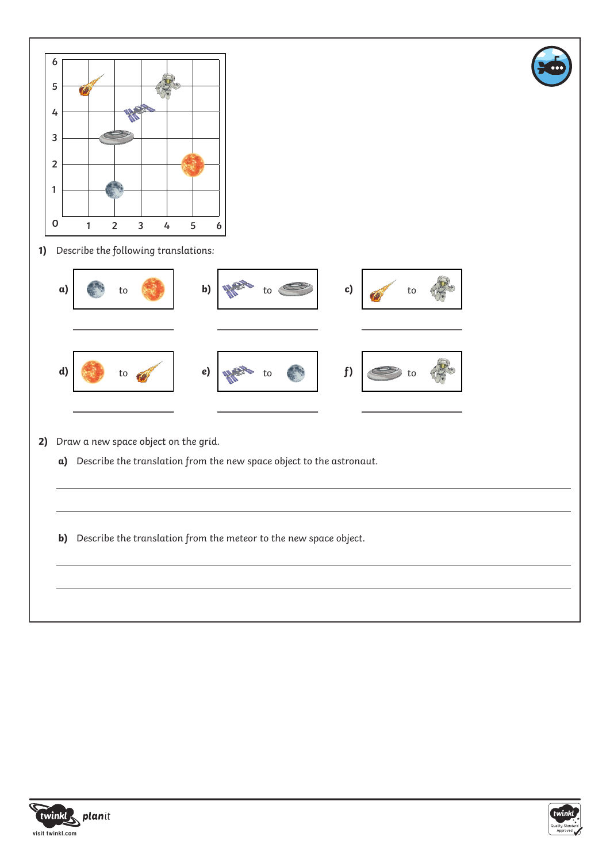



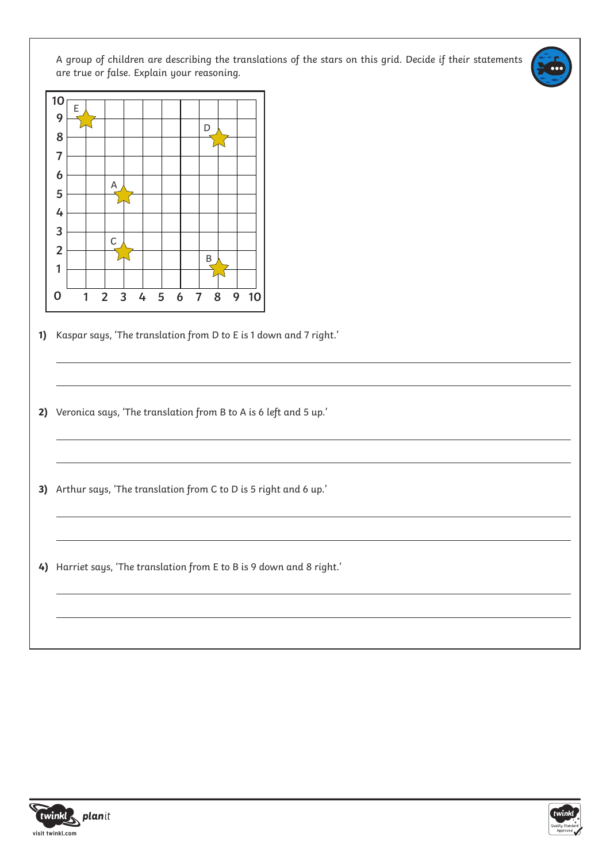A group of children are describing the translations of the stars on this grid. Decide if their statements are true or false. Explain your reasoning.



- **1)** Kaspar says, 'The translation from D to E is 1 down and 7 right.'
- **2)** Veronica says, 'The translation from B to A is 6 left and 5 up.'
- **3)** Arthur says, 'The translation from C to D is 5 right and 6 up.'
- **4)** Harriet says, 'The translation from E to B is 9 down and 8 right.'